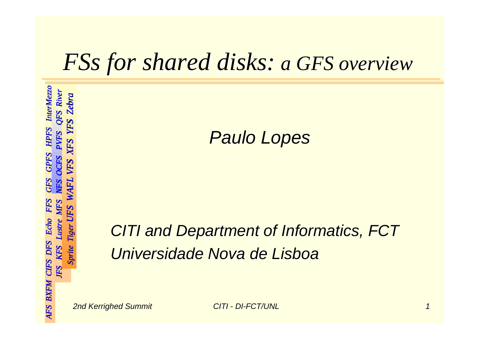### *FSs for shared disks: for shared disks: a GFS overview a GFS overview*

*Paulo Lopes Paulo Lopes*

#### **CITI and Department of Informatics, FCT** *Universidade Universidade Nova de Nova de Lisboa*

*AFS BXFM CIFS DFS Echo FFS GFS GPFS HPFS AFS BXFM CIFS DFS Echo FFS GFS GPFS HPFS InterMezzo InterMezzo*

InterMezzo OFS River

HPFS

*JFS KFS Lustre MFS NFS OCFS PVFS QFS River MFS NFS OCFS PVFS River*

*Sprite Tiger UFS WAFL VFS XFS YFS Zebra*

 $\bm{F}$ WA.

*UFS WAFL VFS XFS YFS Zebra*

VFS

XFS

Zebra

*JFS KFS* 

**IFS KFS** 

**BXFM CIFS DFS** 

AFS

Lustre  $\mathit{Echo}$ 

*Sprite Tiger* 

Sprite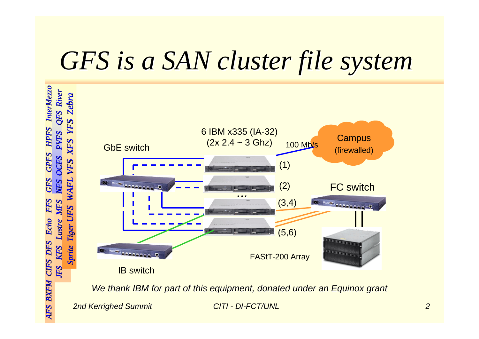## GFS is a SAN cluster file system



*We thank IBM for We thank IBM for part of this t of this equipment, donated under equipment, donated under an Equino an Equinox grant x grant*

*2nd Kerrighed Summit 2nd Summit CITI - DI-FCT/UNL FCT/UNL*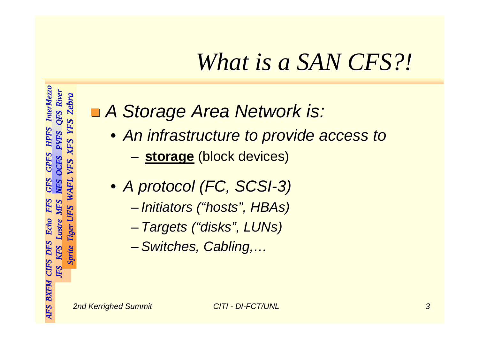### *What is a SAN CFS?! What is a SAN CFS?!*

#### ! *A Storage Area Network is: A Storage Area Network is:*

- *An infrastructure to provide access to An infrastructure to provide access to*
	- –**storage** (block devices)
- *A protocol (FC, SCSI A protocol (FC, SCSI-3)*
	- –*Initiators ("hosts", Initiators ("hosts", HBAs)*
	- –*Targets ("disks", Targets ("disks", LUNs)*
	- –*Switches, Cabling,… Switches, Cabling,…*

*AFS BXFM CIFS DFS Echo FFS GFS GPFS HPFS AFS BXFM CIFS DFS Echo FFS GFS GPFS HPFS InterMezzo InterMezzo*

InterMezzo QFS River

**HPFS PVFS** 

*JFS KFS Lustre MFS NFS OCFS PVFS QFS River MFS NFS OCFS PVFS River*

MFS

Lustre Echo

**OCFS** VFS

*Sprite Tiger UFS WAFL VFS XFS YFS Zebra*

WAFL

UFS

*UFS WAFL VFS XFS YFS Zebra*

XFS

Zebra

YFS

*JFS KFS* 

**IFS KFS** 

**BXFM CIFS DFS** 

AFS

*Sprite Tiger* 

**Sprite**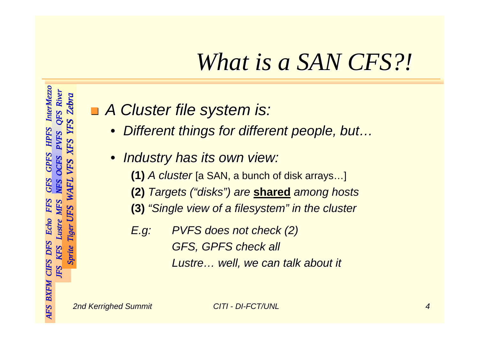### *What is a SAN CFS?! What is a SAN CFS?!*

#### ! *A Cluster file system is: A Cluster file system is:*

- $\bullet$ *Different things for different people, but… Different things for different people, but…*
- $\bullet$  *Industry has its own view: Industry has its own view:*
	- **(1)** *A cluster* [a SAN, a bunch of disk arrays...]
	- **(2)** *Targets ("disks") are Targets ("disks") are* **shared** *among hosts among hosts*
	- **(3)** *"Single view of a "Single view of a filesystem filesystem" in the cluster " in the cluster*
	- *E.g: PVFS does not check (2) PVFS does not check (2) GFS, GPFS check all GFS, GPFS check all Lustre… well, we can talk about it … well, we can talk about it*

*AFS BXFM CIFS DFS Echo FFS GFS GPFS HPFS AFS BXFM CIFS DFS Echo FFS GFS GPFS HPFS InterMezzo InterMezzo*

InterMezzo QFS River

HPFS **PVFS** 

*JFS KFS Lustre MFS NFS OCFS PVFS QFS River MFS NFS OCFS PVFS River*

MFS

Lustre  $\mathit{Echo}$ 

*Sprite Tiger UFS WAFL VFS XFS YFS Zebra*

WAFL

UFS

*UFS WAFL VFS XFS YFS Zebra*

VFS

XFS

Zebra

*JFS KFS* 

**JFS** 

KFS Sprite

**BXFM CIFS DFS** 

**AFS** 

*Sprite Tiger*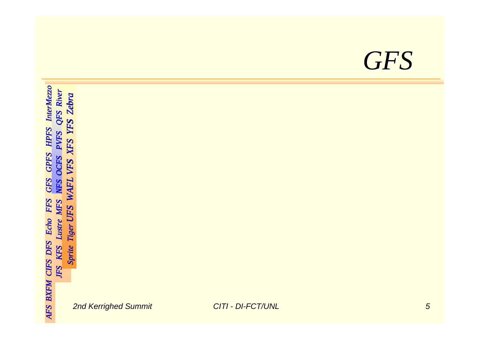### *GFS*

AFS BXFM CIFS DFS Echo FFS GFS GPFS HPFS InterMezzo *AFS BXFM CIFS DFS Echo FFS GFS GPFS HPFS AFS BXFM CIFS DFS Echo FFS GFS GPFS HPFS InterMezzo InterMezzo JFS KFS Lustre MFS NFS OCFS PVFS QFS River MFS NFS OCFS PVFS River* Sprite Tiger UFS WAFL VFS XFS YFS Zebra *Sprite Tiger UFS WAFL VFS XFS YFS Zebra UFS WAFL VFS XFS YFS Zebra Sprite Tiger JFS KFS*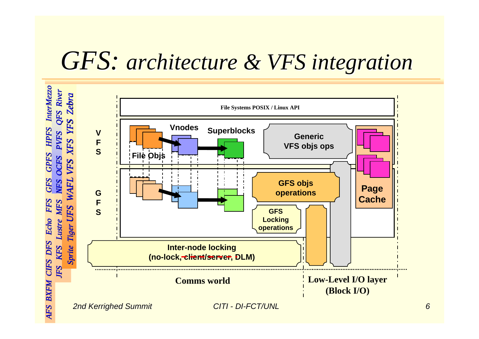### *GFS: architecture & VFS integration*

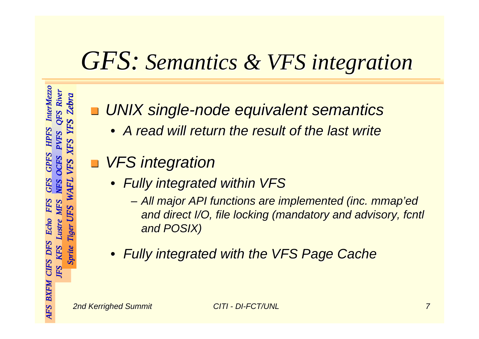### *GFS: Semantics Semantics & VFS integration integration*

**.** ■ UNIX single-node equivalent semantics

- *A read will return the result of the last write A read will return the result of the last write*
- ! *VFS integration VFS integration*
	- *Fully integrated within VFS Fully integrated within VFS*
		- *All major API functions are implemented (inc. All major API functions are implemented (inc. mmap'ed mmap'ed and direct I/O and direct I/O, file locking (mandatory and advisory, , file locking (mandatory and advisory, fcntl and POSIX) and POSIX)*
	- *Fully integrated with the VFS Page Cache Fully integrated with the VFS Page Cache*

*AFS BXFM CIFS DFS Echo FFS GFS GPFS HPFS AFS BXFM CIFS DFS Echo FFS GFS GPFS HPFS InterMezzo InterMezzo*

InterMezzo QFS River

*JFS KFS Lustre MFS NFS OCFS PVFS QFS River MFS NFS OCFS PVFS River*

*Sprite Tiger UFS WAFL VFS XFS YFS Zebra*

WA.

*UFS WAFL VFS XFS YFS Zebra*

VFS

XFS

*JFS KFS* 

JFS

KFS **Sprite** 

CIFS DFS

**BXFM** 

*Sprite Tiger*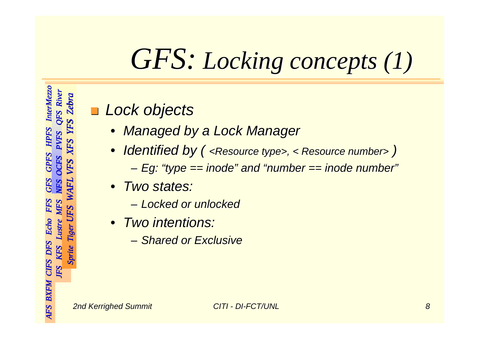# *GFS: Locking Locking concepts concepts (1)*

#### ! *Lock objects Lock objects*

- $\bullet$ *Managed by a Lock Manager Managed by a Lock Manager*
- $\bullet$ • Identified by ( <Resource type>, < Resource number> ) *Eg: "type == : "type == inode" and "number == " and "number == inode number" number"*
- *Two states: Two states:*
	- *Locked or unlocked Locked or unlocked*
- *Two intentions: Two intentions:*
	- *Shared or Exclusiv Shared or Exclusive*

*AFS BXFM CIFS DFS Echo FFS GFS GPFS HPFS AFS BXFM CIFS DFS Echo FFS GFS GPFS HPFS InterMezzo InterMezzo*

InterMezzo QFS River

HPFS

*JFS KFS Lustre MFS NFS OCFS PVFS QFS River MFS NFS OCFS PVFS River*

MFS

Lustre  $\mathit{Echo}$ 

*Sprite Tiger UFS WAFL VFS XFS YFS Zebra*

WAFL

UFS

*UFS WAFL VFS XFS YFS Zebra*

VFS

XFS

**Zebra** 

*JFS KFS* 

**JFS** 

**BXFM CIFS DFS** 

AFS

*Sprite Tiger* 

Sprite KFS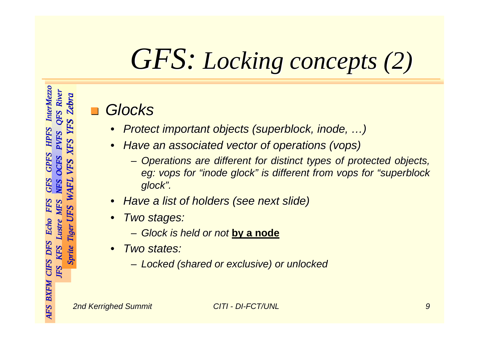# *GFS: Locking Locking concepts concepts (2)*

#### *Glocks*

- •*Protect important objects (superblock, inode, ...)*
- • *Have an associated vector of operations ( Have an associated vector of operations (vops)*
	- *Operations are different for distinct Operations are different for distinct types of protected protected objects objects, eg: vops for "inode glock" is different from vops for "superblock***"** *glock".*
- •*Have a list of holders (see next slide) Have a list of holders (see next slide)*
- • *Two stages: Two stages:*
	- *Glock is held or not is held or not* **by a node**
- $\bullet$  *Two states: Two states:*
	- *Locked (shared or exclusive) or unlocked Locked (shared or exclusive) or unlocked*

*AFS BXFM CIFS DFS Echo FFS GFS GPFS HPFS AFS BXFM CIFS DFS Echo FFS GFS GPFS HPFS InterMezzo InterMezzo*

**InterMezzo QFS** River **Zebra** 

*JFS KFS Lustre MFS NFS OCFS PVFS QFS River MFS NFS OCFS PVFS River*

*Sprite Tiger UFS WAFL VFS XFS YFS Zebra*

 $\bm{F}$ **WA** 

*UFS WAFL VFS XFS YFS Zebra*

VFS

XFS

*JFS KFS* 

JFS

KFS Sprite

**BXFM CIFS DFS** 

Lustre

*Sprite Tiger*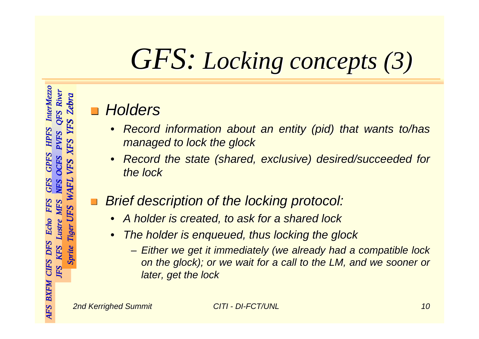# *GFS: Locking Locking concepts concepts (3)*

#### *Holders Holders*

- •*Record information about an entity (pid) that wants to/has managed to lock the managed to lock the gloc k*
- •*R e c o rd the state (s the state (shared, exc lusive) des usive) desired/succeeded for ired/succeeded for the lock the lock*

#### *Brief description of the locking protocol: Brief description of the locking protocol:*

- •A holder is created, to ask for a shared lock
- •*The holder is enqueued, thus locking the glock* 
	- *Either we get it immediately immediately (we already had a compatible lock already had a compatible lock on the glock); or we wait for a call to the LM, and we sooner or later, get the lock later, get the lock*

*AFS BXFM CIFS DFS Echo FFS GFS GPFS HPFS AFS BXFM CIFS DFS Echo FFS GFS GPFS HPFS InterMezzo InterMezzo*

**InterMezzo** QFS River Zebra

*JFS KFS Lustre MFS NFS OCFS PVFS QFS River MFS NFS OCFS PVFS River*

MFS

Lustre

*Sprite Tiger UFS WAFL VFS XFS YFS Zebra*

WA

*UFS WAFL VFS XFS YFS Zebra*

VF.

XFS

*JFS KFS* 

JFS

KFS Sprite

CIFS DFS

**BXFM** 

*Sprite Tiger* 

Tig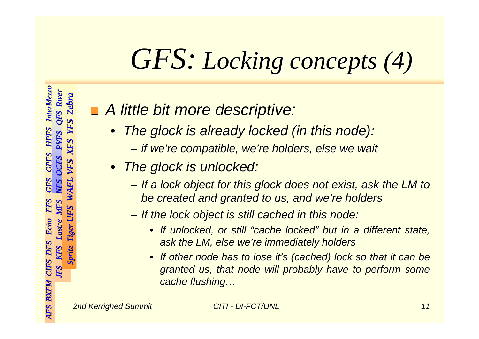## *GFS: Locking Locking concepts concepts (4)*

#### ! *A little bit more descriptive: A little bit more descriptive:*

- $\bullet$  *The glock is already locked (in this node): is already locked (in this node):*
	- *if we're compatible, we're holders, else we wait if we're compatible, we're holders, else we wait*
- *The glock is unlocked: is unlocked:*
	- *If a lock object for this If a lock object for this glock does not exist, ask the LM to does not exist, ask the LM to be created and granted to us, and we're holders be created and granted to us, and we're holders*
	- *If the lock object is st If the lock object is still cached in this node: ill cached in this node:*
		- *If unlocked, or still "cache locked" If unlocked, or still "cache locked" but in a different state, but in a different state, ask the LM, else we're immediately holders ask the LM, else we're immediately holders*
		- •• If other node has to lose it's (cached) lock so that it can be *granted us, that node will probably have to granted us, that node will probably have to perform perform some cache flushing…*

*AFS BXFM CIFS DFS Echo FFS GFS GPFS HPFS AFS BXFM CIFS DFS Echo FFS GFS GPFS HPFS InterMezzo InterMezzo*

**InterMezzo** QFS River

HPFS

*JFS KFS Lustre MFS NFS OCFS PVFS QFS River MFS NFS OCFS PVFS River*

*Sprite Tiger UFS WAFL VFS XFS YFS Zebra*

WA

*UFS WAFL VFS XFS YFS Zebra*

VFS

XFS

Zebra

*JFS KFS* 

**JFS** 

KFS Sprite

**BXFM CIFS DFS** 

*Sprite Tiger* 

Tige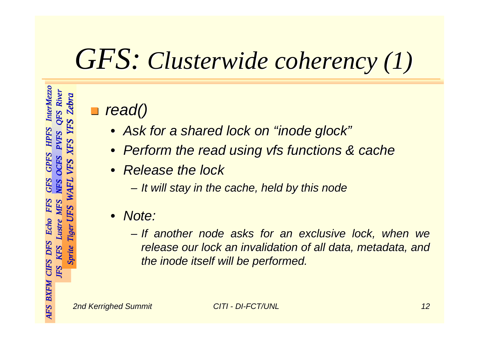## *GFS: Clusterwide Clusterwide coherency coherency (1)*

#### **.** *read()*

- *Ask for a shared lock on " Ask for a shared lock on "inode glock "*
- *Perform the read using Perform the read using vfs functions & cache functions & cache*
- *Release the lock Release the lock*
	- *It will stay in the cache, held by this node It will stay in the cache, held by this node*
- • *Note:*
	- *If another If another node asks for an exclus asks for an exclusive lock, when we ive lock, when we release our lock an invalidation of all data, metadata, and the inode itself will be performed. itself will be performed.*

*AFS BXFM CIFS DFS Echo FFS GFS GPFS HPFS AFS BXFM CIFS DFS Echo FFS GFS GPFS HPFS InterMezzo InterMezzo*

**InterMezzo** QFS River

*JFS KFS Lustre MFS NFS OCFS PVFS QFS River MFS NFS OCFS PVFS River*

*Sprite Tiger UFS WAFL VFS XFS YFS Zebra*

**WA** 

*UFS WAFL VFS XFS YFS Zebra*

VFS

XFS

*JFS KFS* 

JFS KFS

BXFM CIFS DFS

*Sprite Tiger* 

Sprite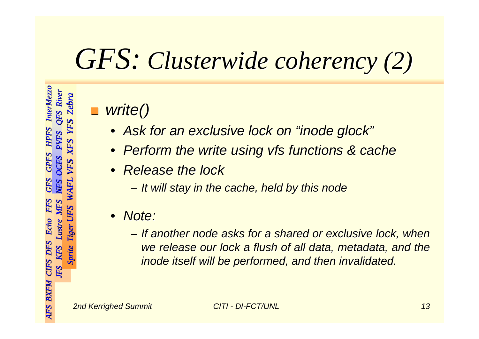## *GFS: Clusterwide Clusterwide coherency coherency (2)*

#### !*write() write()*

- *Ask for an exclusive lock on " Ask for an exclusive lock on "inode glock "*
- $\bullet$ *Perform the write using vfs functions & cache*
- $\bullet$  *Release the lock Release the lock*
	- *It will stay in the cache, held by this node It will stay in the cache, held by this node*
- • *Note:*
	- *If another another node asks for a shared or exclusive lock, when node asks for a shared or exclusive lock, when we release our lock a flush of all data, metadata, and the inode itself will be performed, and then inv itself will be performed, and then invalidated. lidated.*

*AFS BXFM CIFS DFS Echo FFS GFS GPFS HPFS AFS BXFM CIFS DFS Echo FFS GFS GPFS HPFS InterMezzo InterMezzo*

InterMezzo OFS River

*JFS KFS Lustre MFS NFS OCFS PVFS QFS River MFS NFS OCFS PVFS River*

*Sprite Tiger UFS WAFL VFS XFS YFS Zebra*

**WA** 

*UFS WAFL VFS XFS YFS Zebra*

VFS

XFS

*JFS KFS* 

JFS

KFS

BXFM CIFS DFS

*Sprite Tiger* 

Sprite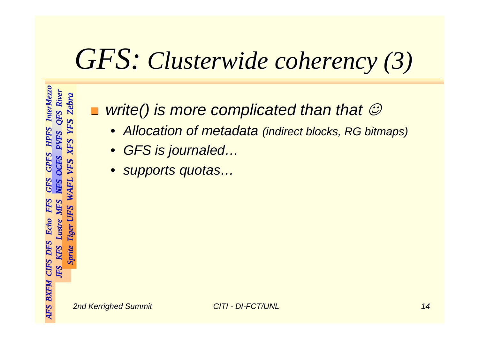## *GFS: Clusterwide Clusterwide coherency coherency (3)*

**In the set** ■ write() is more complicated than that  $\circledcirc$ 

- $\bullet$ **Allocation of metadata (indirect blocks, RG bitmaps)**
- *GFS is journaled journaled…*
- $\bullet$ *supports quotas… supports quotas…*

*AFS BXFM CIFS DFS Echo FFS GFS GPFS HPFS AFS BXFM CIFS DFS Echo FFS GFS GPFS HPFS InterMezzo InterMezzo*

InterMezzo QFS River

HPFS

*JFS KFS Lustre MFS NFS OCFS PVFS QFS River MFS NFS OCFS PVFS River*

*Sprite Tiger UFS WAFL VFS XFS YFS Zebra*

WAFI

*UFS WAFL VFS XFS YFS Zebra*

VFS

XFS

**Zebra** 

*JFS KFS* 

JFS

**BXFM CIFS DFS** 

AFS

*Sprite Tiger* 

Sprite KFS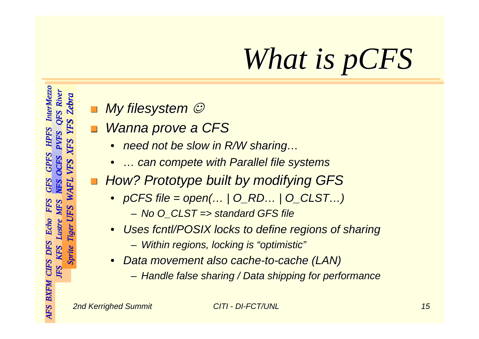# *What is pCFS*

- My filesystem *☺*
- *Wanna prove a CFS* 
	- •*need not be slow in R/W sharing…*
	- •*… can compete with Parallel file systems … can compete with Parallel file systems*
- ! *How? Prototype built by modifying GFS How? Prototype built by modifying GFS*
	- *pCFS file = open(… | O\_RD… | O\_CLST…) file = open(… | O\_RD… | O\_CLST…)*
		- *No O\_CLST => standard GFS file No O\_CLST => standard GFS file*
	- •*Uses fcntl/POSIX locks to define regions of sharing* 
		- *Within regions, locking is "optimistic" Within regions, locking is "optimistic"*
	- • *Data movement also cache Data movement also cache -to -cache (LAN) cache (LAN)*
		- *Handle false sharing / Data shipping for performance Handle false sharing / Data shipping for performance*

*AFS BXFM CIFS DFS Echo FFS GFS GPFS HPFS AFS BXFM CIFS DFS Echo FFS GFS GPFS HPFS InterMezzo InterMezzo*

Echo Lustre

**BXFM CIFS DFS** 

AFS

InterMezzo QFS River

**HPFS PVFS** 

**GPFS** OCFS VFS

*JFS KFS Lustre MFS NFS OCFS PVFS QFS River MFS NFS OCFS PVFS River*

**MFS** 

*Sprite Tiger UFS WAFL VFS XFS YFS Zebra*

WAFL

UFS

*UFS WAFL VFS XFS YFS Zebra*

XFS

**Zebra** 

YFS

*JFS KFS* 

JFS

KFS Sprite

*Sprite Tiger*